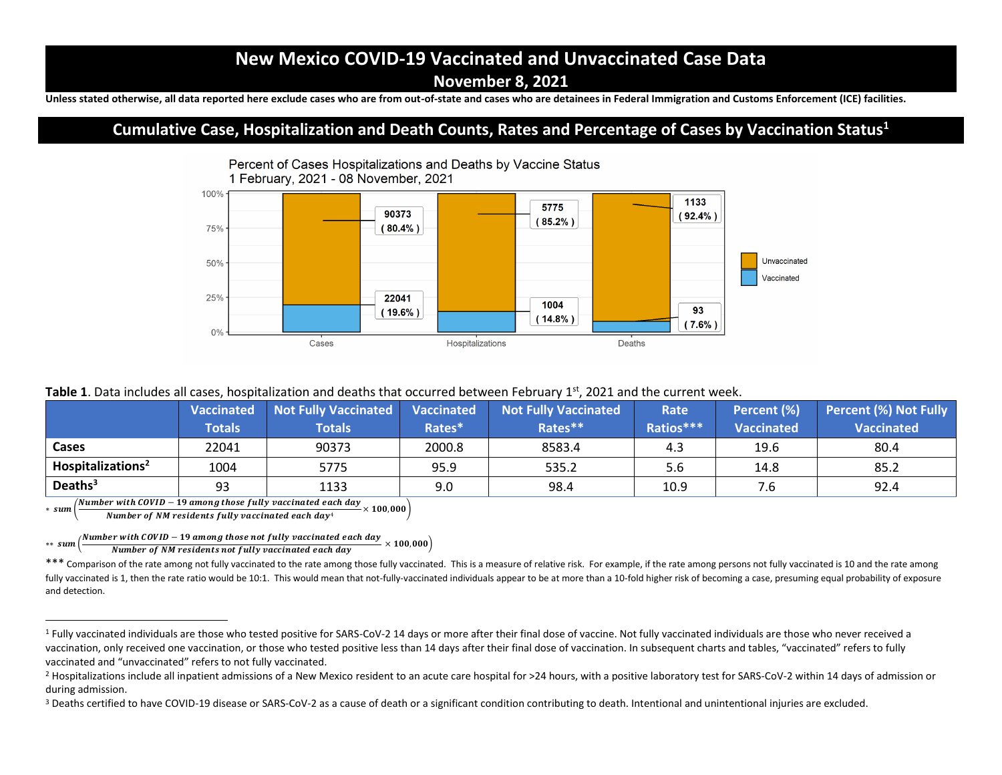# **New Mexico COVID-19 Vaccinated and Unvaccinated Case Data**

**November 8, 2021**

**Unless stated otherwise, all data reported here exclude cases who are from out-of-state and cases who are detainees in Federal Immigration and Customs Enforcement (ICE) facilities.** 

### **Cumulative Case, Hospitalization and Death Counts, Rates and Percentage of Cases by Vaccination Status<sup>1</sup>**



#### Table 1. Data includes all cases, hospitalization and deaths that occurred between February 1<sup>st</sup>, 2021 and the current week.

|                               | <b>Vaccinated</b> | <b>Not Fully Vaccinated</b> | <b>Vaccinated</b> | <b>Not Fully Vaccinated</b> | Rate      | Percent (%)       | <b>Percent (%) Not Fully</b> |
|-------------------------------|-------------------|-----------------------------|-------------------|-----------------------------|-----------|-------------------|------------------------------|
|                               | <b>Totals</b>     | <b>Totals</b>               | Rates*            | Rates**                     | Ratios*** | <b>Vaccinated</b> | <b>Vaccinated</b>            |
| Cases                         | 22041             | 90373                       | 2000.8            | 8583.4                      | 4.3       | 19.6              | 80.4                         |
| Hospitalizations <sup>2</sup> | 1004              | 5775                        | 95.9              | 535.2                       | 5.6       | 14.8              | 85.2                         |
| Deaths $3$                    | 93                | 1133                        | 9.0               | 98.4                        | 10.9      | ′.Ե               | 92.4                         |

 $*$  sum Number with COVID − 19 among those fully vaccinated each day

 $\frac{1}{2}$   $\times$  100,000  $\times$  100  $\times$  100  $\frac{1}{2}$   $\times$  100,000  $\times$  100,000  $\times$  100,000  $\times$  100,000  $\times$  100,000  $\times$  100,000  $\times$  100,000  $\times$  100  $\times$  100  $\times$  100  $\times$  100  $\times$  100  $\times$  100  $\times$  100  $\times$  100  $\times$  10

 $**$  sum ( Number with COVID – 19 among those not fully vaccinated each day  $\times$  100,000)<br>Number of NM residents not fully vaccinated each day  $\times$  100,000)

\*\*\* Comparison of the rate among not fully vaccinated to the rate among those fully vaccinated. This is a measure of relative risk. For example, if the rate among persons not fully vaccinated is 10 and the rate among fully vaccinated is 1, then the rate ratio would be 10:1. This would mean that not-fully-vaccinated individuals appear to be at more than a 10-fold higher risk of becoming a case, presuming equal probability of exposure and detection.

<sup>&</sup>lt;sup>1</sup> Fully vaccinated individuals are those who tested positive for SARS-CoV-2 14 days or more after their final dose of vaccine. Not fully vaccinated individuals are those who never received a vaccination, only received one vaccination, or those who tested positive less than 14 days after their final dose of vaccination. In subsequent charts and tables, "vaccinated" refers to fully vaccinated and "unvaccinated" refers to not fully vaccinated.

<sup>&</sup>lt;sup>2</sup> Hospitalizations include all inpatient admissions of a New Mexico resident to an acute care hospital for >24 hours, with a positive laboratory test for SARS-CoV-2 within 14 days of admission or during admission.

<sup>&</sup>lt;sup>3</sup> Deaths certified to have COVID-19 disease or SARS-CoV-2 as a cause of death or a significant condition contributing to death. Intentional and unintentional injuries are excluded.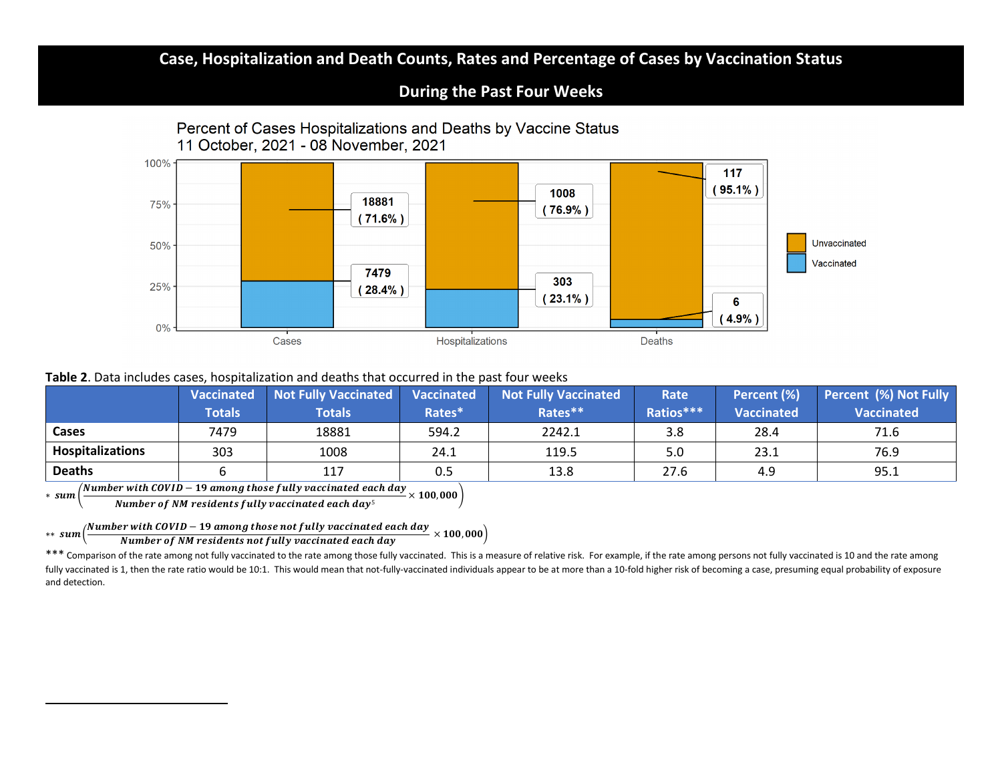## **Case, Hospitalization and Death Counts, Rates and Percentage of Cases by Vaccination Status**

#### **During the Past Four Weeks**



#### **Table 2**. Data includes cases, hospitalization and deaths that occurred in the past four weeks

|                         | <b>Vaccinated</b> | Not Fully Vaccinated | <b>Vaccinated</b> | Not Fully Vaccinated | Rate      | Percent (%)       | <b>Percent (%) Not Fully</b> |
|-------------------------|-------------------|----------------------|-------------------|----------------------|-----------|-------------------|------------------------------|
|                         | <b>Totals</b>     | <b>Totals</b>        | Rates*            | Rates**              | Ratios*** | <b>Vaccinated</b> | <b>Vaccinated</b>            |
| Cases                   | 7479              | 18881                | 594.2             | 2242.1               | 3.8       | 28.4              | 71.6                         |
| <b>Hospitalizations</b> | 303               | 1008                 | 24.1              | 119.5                | 5.0       | 23.1              | 76.9                         |
| <b>Deaths</b>           |                   | 117                  | 0.5               | 13.8                 | 27.6      | 4.9               | 95.1                         |

∗ ( Number with COVID − 19 among those fully vaccinated each day

 $\frac{1}{2}$   $\frac{1}{2}$   $\frac{1}{2}$   $\frac{1}{2}$   $\frac{1}{2}$   $\frac{1}{2}$   $\frac{1}{2}$   $\frac{1}{2}$   $\frac{1}{2}$   $\frac{1}{2}$   $\frac{1}{2}$   $\frac{1}{2}$   $\frac{1}{2}$   $\frac{1}{2}$   $\frac{1}{2}$   $\frac{1}{2}$   $\frac{1}{2}$   $\frac{1}{2}$   $\frac{1}{2}$   $\frac{1}{2}$   $\frac{1}{2}$   $\frac{1}{2}$ 

∗∗ ( Number with COVID – 19 among those not fully vaccinated each day  $\sim$  100,000 $\big)$  Number of NM residents not fully vaccinated each day

\*\*\* Comparison of the rate among not fully vaccinated to the rate among those fully vaccinated. This is a measure of relative risk. For example, if the rate among persons not fully vaccinated is 10 and the rate among fully vaccinated is 1, then the rate ratio would be 10:1. This would mean that not-fully-vaccinated individuals appear to be at more than a 10-fold higher risk of becoming a case, presuming equal probability of exposure and detection.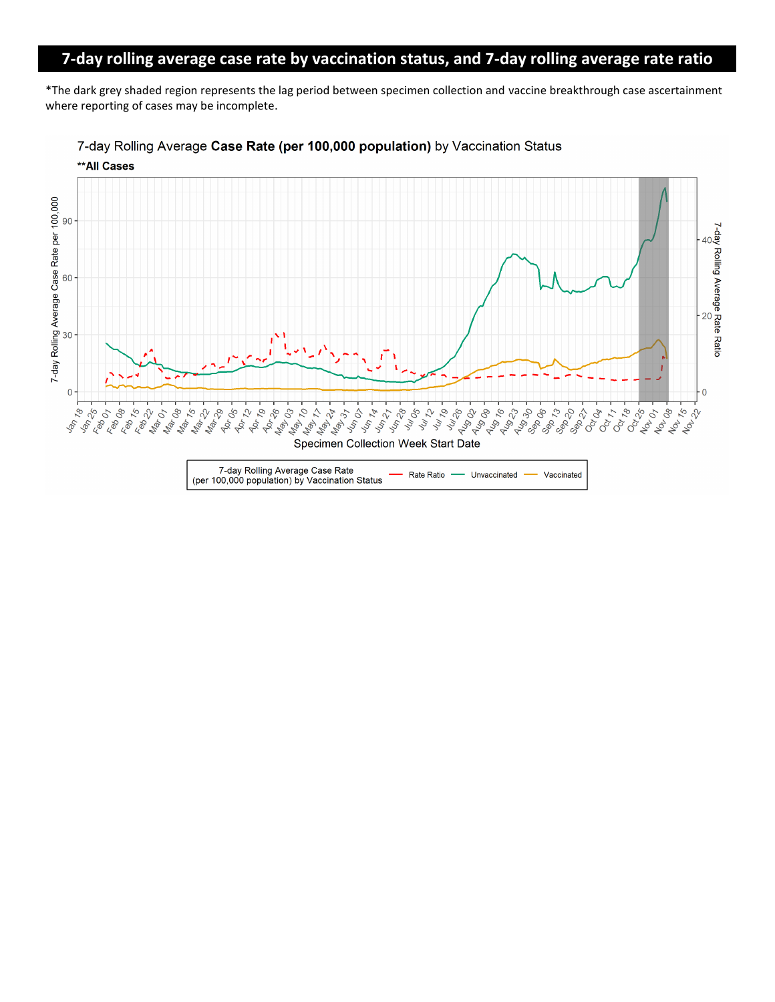# **7-day rolling average case rate by vaccination status, and 7-day rolling average rate ratio**

\*The dark grey shaded region represents the lag period between specimen collection and vaccine breakthrough case ascertainment where reporting of cases may be incomplete.



7-day Rolling Average Case Rate (per 100,000 population) by Vaccination Status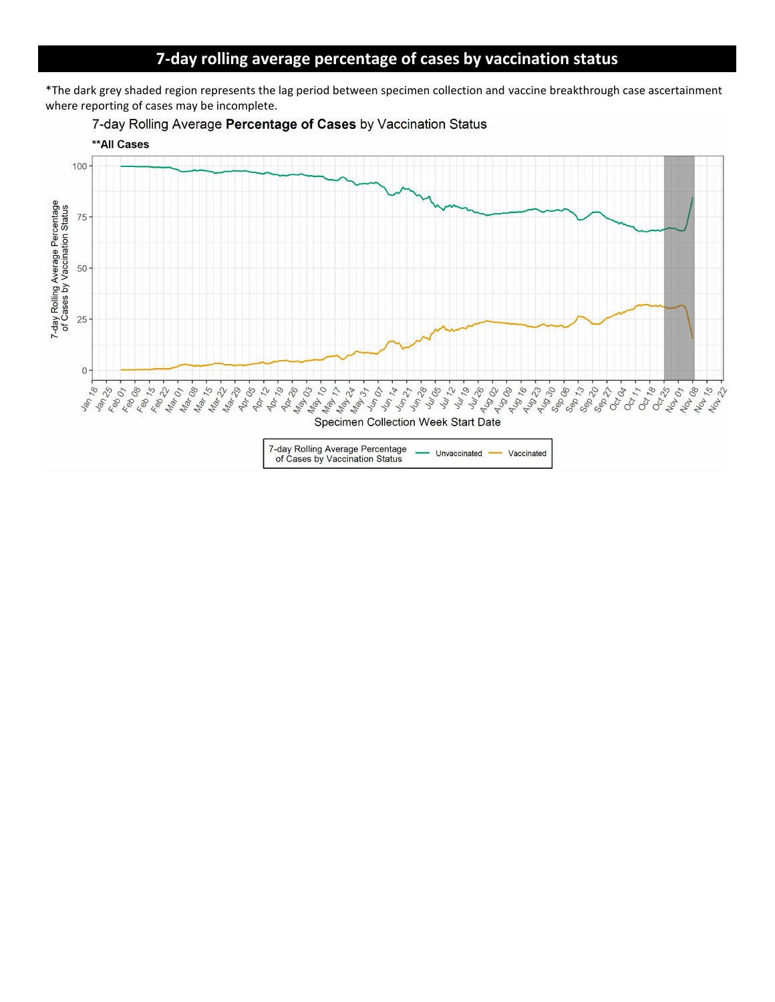## **7-day rolling average percentage of cases by vaccination status**

\*The dark grey shaded region represents the lag period between specimen collection and vaccine breakthrough case ascertainment where reporting of cases may be incomplete.





7-day Rolling Average Percentage<br>of Cases by Vaccination Status Unvaccinated Vaccinated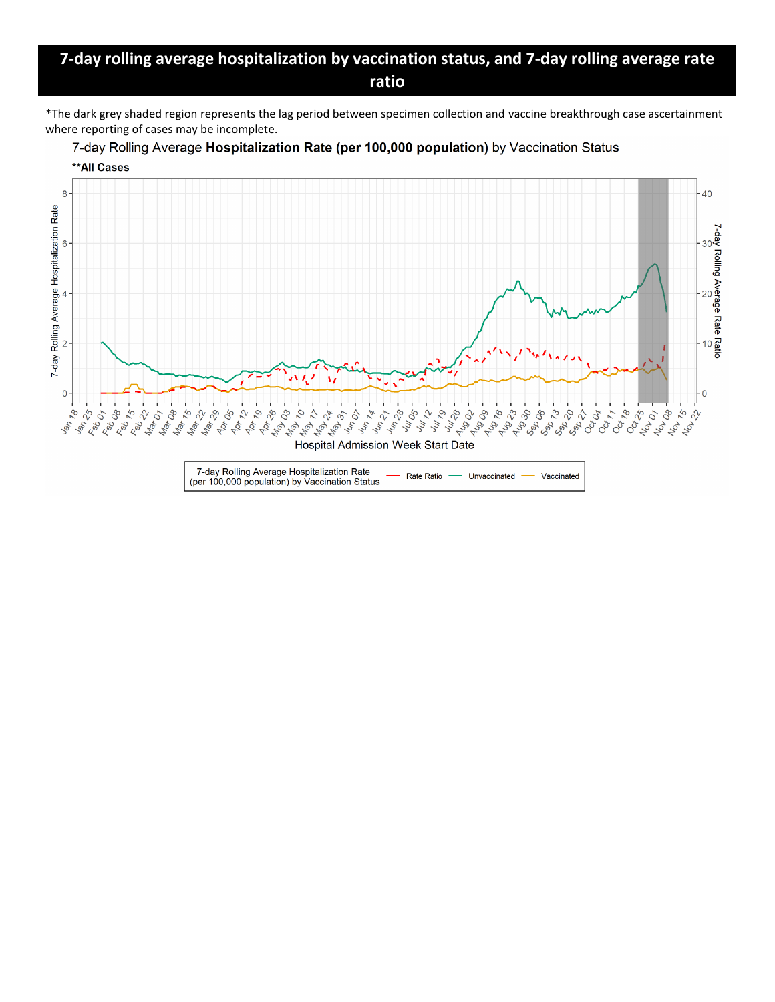## **7-day rolling average hospitalization by vaccination status, and 7-day rolling average rate ratio**

\*The dark grey shaded region represents the lag period between specimen collection and vaccine breakthrough case ascertainment where reporting of cases may be incomplete.



7-day Rolling Average Hospitalization Rate (per 100,000 population) by Vaccination Status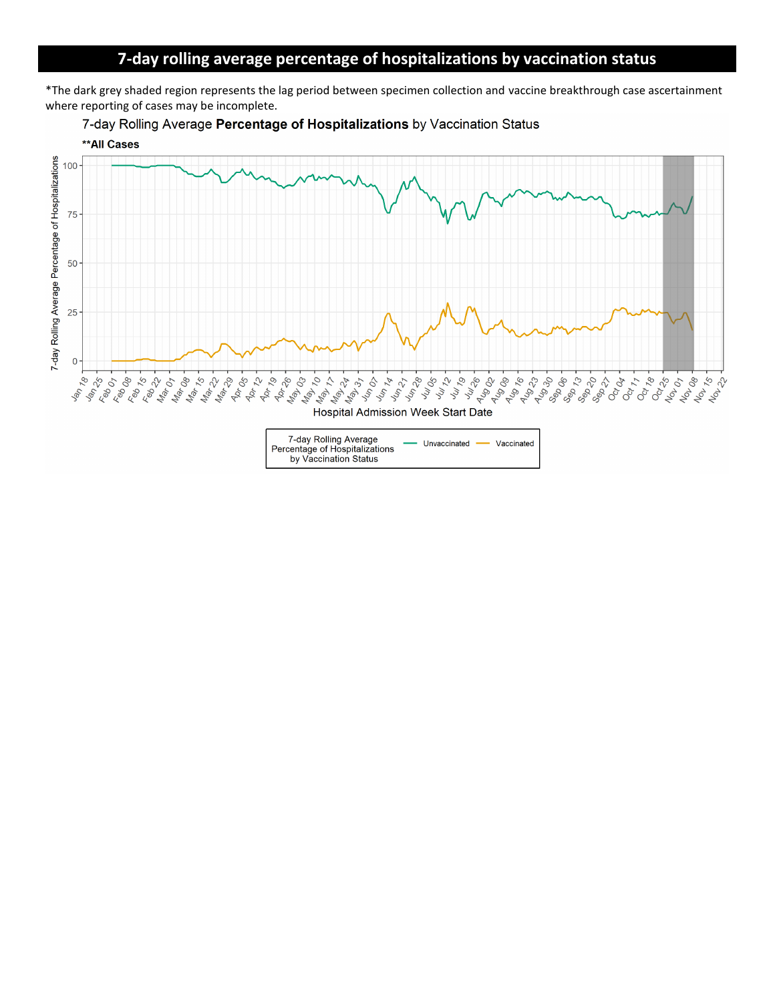# **7-day rolling average percentage of hospitalizations by vaccination status**

\*The dark grey shaded region represents the lag period between specimen collection and vaccine breakthrough case ascertainment where reporting of cases may be incomplete.